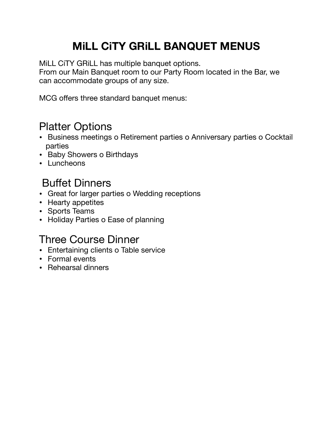# **MiLL CiTY GRiLL BANQUET MENUS**

MiLL CiTY GRiLL has multiple banquet options.

From our Main Banquet room to our Party Room located in the Bar, we can accommodate groups of any size.

MCG offers three standard banquet menus:

### Platter Options

- Business meetings o Retirement parties o Anniversary parties o Cocktail parties
- Baby Showers o Birthdays
- Luncheons

# Buffet Dinners

- Great for larger parties o Wedding receptions
- Hearty appetites
- Sports Teams
- Holiday Parties o Ease of planning

## Three Course Dinner

- Entertaining clients o Table service
- Formal events
- Rehearsal dinners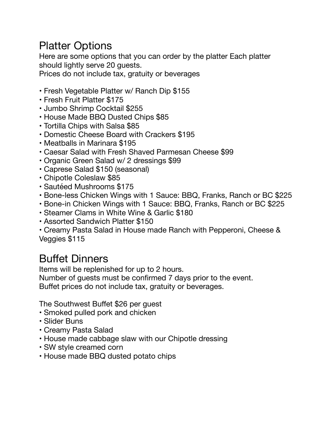#### Platter Options

Here are some options that you can order by the platter Each platter should lightly serve 20 guests.

Prices do not include tax, gratuity or beverages

- Fresh Vegetable Platter w/ Ranch Dip \$155
- Fresh Fruit Platter \$175
- Jumbo Shrimp Cocktail \$255
- House Made BBQ Dusted Chips \$85
- Tortilla Chips with Salsa \$85
- Domestic Cheese Board with Crackers \$195
- Meatballs in Marinara \$195
- Caesar Salad with Fresh Shaved Parmesan Cheese \$99
- Organic Green Salad w/ 2 dressings \$99
- Caprese Salad \$150 (seasonal)
- Chipotle Coleslaw \$85
- Sautéed Mushrooms \$175
- Bone-less Chicken Wings with 1 Sauce: BBQ, Franks, Ranch or BC \$225
- Bone-in Chicken Wings with 1 Sauce: BBQ, Franks, Ranch or BC \$225
- Steamer Clams in White Wine & Garlic \$180
- Assorted Sandwich Platter \$150
- Creamy Pasta Salad in House made Ranch with Pepperoni, Cheese & Veggies \$115

#### Buffet Dinners

Items will be replenished for up to 2 hours.

Number of guests must be confirmed 7 days prior to the event. Buffet prices do not include tax, gratuity or beverages.

The Southwest Buffet \$26 per guest

- Smoked pulled pork and chicken
- Slider Buns
- Creamy Pasta Salad
- House made cabbage slaw with our Chipotle dressing
- SW style creamed corn
- House made BBQ dusted potato chips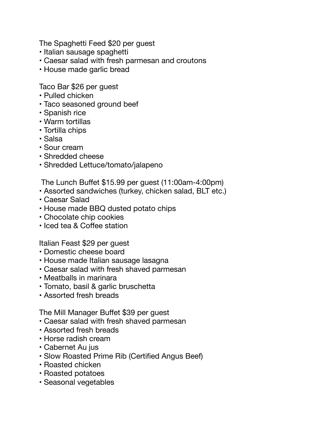The Spaghetti Feed \$20 per guest

- Italian sausage spaghetti
- Caesar salad with fresh parmesan and croutons
- House made garlic bread

Taco Bar \$26 per guest

- Pulled chicken
- Taco seasoned ground beef
- Spanish rice
- Warm tortillas
- Tortilla chips
- Salsa
- Sour cream
- Shredded cheese
- Shredded Lettuce/tomato/jalapeno

The Lunch Buffet \$15.99 per guest (11:00am-4:00pm)

- Assorted sandwiches (turkey, chicken salad, BLT etc.)
- Caesar Salad
- House made BBQ dusted potato chips
- Chocolate chip cookies
- Iced tea & Coffee station

Italian Feast \$29 per guest

- Domestic cheese board
- House made Italian sausage lasagna
- Caesar salad with fresh shaved parmesan
- Meatballs in marinara
- Tomato, basil & garlic bruschetta
- Assorted fresh breads

The Mill Manager Buffet \$39 per guest

- Caesar salad with fresh shaved parmesan
- Assorted fresh breads
- Horse radish cream
- Cabernet Au jus
- Slow Roasted Prime Rib (Certified Angus Beef)
- Roasted chicken
- Roasted potatoes
- Seasonal vegetables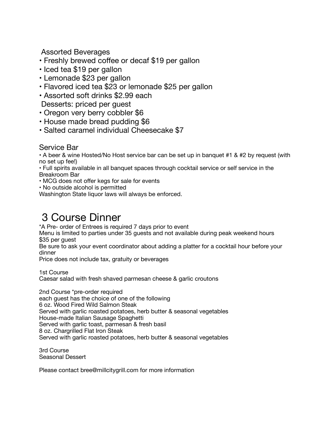Assorted Beverages

- Freshly brewed coffee or decaf \$19 per gallon
- Iced tea \$19 per gallon
- Lemonade \$23 per gallon
- Flavored iced tea \$23 or lemonade \$25 per gallon
- Assorted soft drinks \$2.99 each Desserts: priced per guest
- Oregon very berry cobbler \$6
- House made bread pudding \$6
- Salted caramel individual Cheesecake \$7

#### Service Bar

• A beer & wine Hosted/No Host service bar can be set up in banquet #1 & #2 by request (with no set up fee!)

• Full spirits available in all banquet spaces through cocktail service or self service in the Breakroom Bar

• MCG does not offer kegs for sale for events

• No outside alcohol is permitted

Washington State liquor laws will always be enforced.

#### 3 Course Dinner

\*A Pre- order of Entrees is required 7 days prior to event

Menu is limited to parties under 35 guests and not available during peak weekend hours \$35 per guest

Be sure to ask your event coordinator about adding a platter for a cocktail hour before your dinner

Price does not include tax, gratuity or beverages

1st Course

Caesar salad with fresh shaved parmesan cheese & garlic croutons

2nd Course \*pre-order required

each guest has the choice of one of the following

6 oz. Wood Fired Wild Salmon Steak

Served with garlic roasted potatoes, herb butter & seasonal vegetables

House-made Italian Sausage Spaghetti

Served with garlic toast, parmesan & fresh basil

8 oz. Chargrilled Flat Iron Steak

Served with garlic roasted potatoes, herb butter & seasonal vegetables

3rd Course Seasonal Dessert

Please contact bree@millcitygrill.com for more information